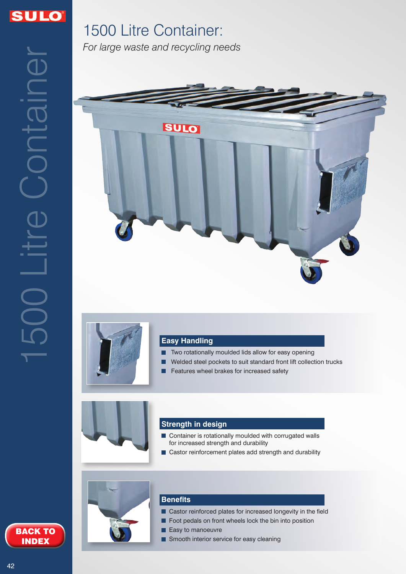

# 1500 Litre Container: *For large waste and recycling needs*





## **Easy Handling**

- **T** Two rotationally moulded lids allow for easy opening
- Welded steel pockets to suit standard front lift collection trucks
- Features wheel brakes for increased safety



#### **Strength in design**

- Container is rotationally moulded with corrugated walls **The State** for increased strength and durability
- Castor reinforcement plates add strength and durability



#### **Benefits**

- Castor reinforced plates for increased longevity in the field
- Foot pedals on front wheels lock the bin into position
- Easy to manoeuvre
- Smooth interior service for easy cleaning

BACK TO INDEX